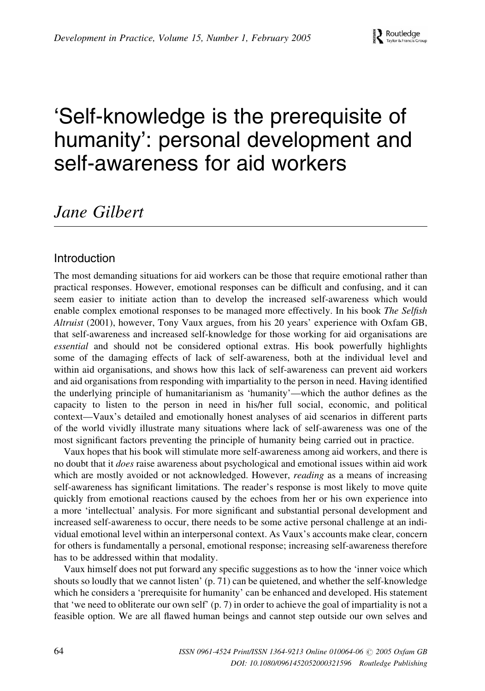# 'Self-knowledge is the prerequisite of humanity': personal development and self-awareness for aid workers

## Jane Gilbert

## Introduction

The most demanding situations for aid workers can be those that require emotional rather than practical responses. However, emotional responses can be difficult and confusing, and it can seem easier to initiate action than to develop the increased self-awareness which would enable complex emotional responses to be managed more effectively. In his book The Selfish Altruist (2001), however, Tony Vaux argues, from his 20 years' experience with Oxfam GB, that self-awareness and increased self-knowledge for those working for aid organisations are essential and should not be considered optional extras. His book powerfully highlights some of the damaging effects of lack of self-awareness, both at the individual level and within aid organisations, and shows how this lack of self-awareness can prevent aid workers and aid organisations from responding with impartiality to the person in need. Having identified the underlying principle of humanitarianism as 'humanity'—which the author defines as the capacity to listen to the person in need in his/her full social, economic, and political context—Vaux's detailed and emotionally honest analyses of aid scenarios in different parts of the world vividly illustrate many situations where lack of self-awareness was one of the most significant factors preventing the principle of humanity being carried out in practice.

Vaux hopes that his book will stimulate more self-awareness among aid workers, and there is no doubt that it does raise awareness about psychological and emotional issues within aid work which are mostly avoided or not acknowledged. However, *reading* as a means of increasing self-awareness has significant limitations. The reader's response is most likely to move quite quickly from emotional reactions caused by the echoes from her or his own experience into a more 'intellectual' analysis. For more significant and substantial personal development and increased self-awareness to occur, there needs to be some active personal challenge at an individual emotional level within an interpersonal context. As Vaux's accounts make clear, concern for others is fundamentally a personal, emotional response; increasing self-awareness therefore has to be addressed within that modality.

Vaux himself does not put forward any specific suggestions as to how the 'inner voice which shouts so loudly that we cannot listen' (p. 71) can be quietened, and whether the self-knowledge which he considers a 'prerequisite for humanity' can be enhanced and developed. His statement that 'we need to obliterate our own self' (p. 7) in order to achieve the goal of impartiality is not a feasible option. We are all flawed human beings and cannot step outside our own selves and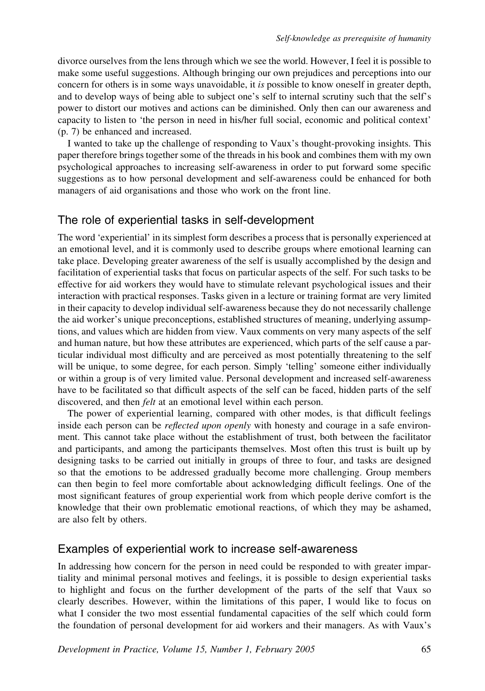divorce ourselves from the lens through which we see the world. However, I feel it is possible to make some useful suggestions. Although bringing our own prejudices and perceptions into our concern for others is in some ways unavoidable, it is possible to know oneself in greater depth, and to develop ways of being able to subject one's self to internal scrutiny such that the self's power to distort our motives and actions can be diminished. Only then can our awareness and capacity to listen to 'the person in need in his/her full social, economic and political context' (p. 7) be enhanced and increased.

I wanted to take up the challenge of responding to Vaux's thought-provoking insights. This paper therefore brings together some of the threads in his book and combines them with my own psychological approaches to increasing self-awareness in order to put forward some specific suggestions as to how personal development and self-awareness could be enhanced for both managers of aid organisations and those who work on the front line.

## The role of experiential tasks in self-development

The word 'experiential' in its simplest form describes a process that is personally experienced at an emotional level, and it is commonly used to describe groups where emotional learning can take place. Developing greater awareness of the self is usually accomplished by the design and facilitation of experiential tasks that focus on particular aspects of the self. For such tasks to be effective for aid workers they would have to stimulate relevant psychological issues and their interaction with practical responses. Tasks given in a lecture or training format are very limited in their capacity to develop individual self-awareness because they do not necessarily challenge the aid worker's unique preconceptions, established structures of meaning, underlying assumptions, and values which are hidden from view. Vaux comments on very many aspects of the self and human nature, but how these attributes are experienced, which parts of the self cause a particular individual most difficulty and are perceived as most potentially threatening to the self will be unique, to some degree, for each person. Simply 'telling' someone either individually or within a group is of very limited value. Personal development and increased self-awareness have to be facilitated so that difficult aspects of the self can be faced, hidden parts of the self discovered, and then *felt* at an emotional level within each person.

The power of experiential learning, compared with other modes, is that difficult feelings inside each person can be *reflected upon openly* with honesty and courage in a safe environment. This cannot take place without the establishment of trust, both between the facilitator and participants, and among the participants themselves. Most often this trust is built up by designing tasks to be carried out initially in groups of three to four, and tasks are designed so that the emotions to be addressed gradually become more challenging. Group members can then begin to feel more comfortable about acknowledging difficult feelings. One of the most significant features of group experiential work from which people derive comfort is the knowledge that their own problematic emotional reactions, of which they may be ashamed, are also felt by others.

## Examples of experiential work to increase self-awareness

In addressing how concern for the person in need could be responded to with greater impartiality and minimal personal motives and feelings, it is possible to design experiential tasks to highlight and focus on the further development of the parts of the self that Vaux so clearly describes. However, within the limitations of this paper, I would like to focus on what I consider the two most essential fundamental capacities of the self which could form the foundation of personal development for aid workers and their managers. As with Vaux's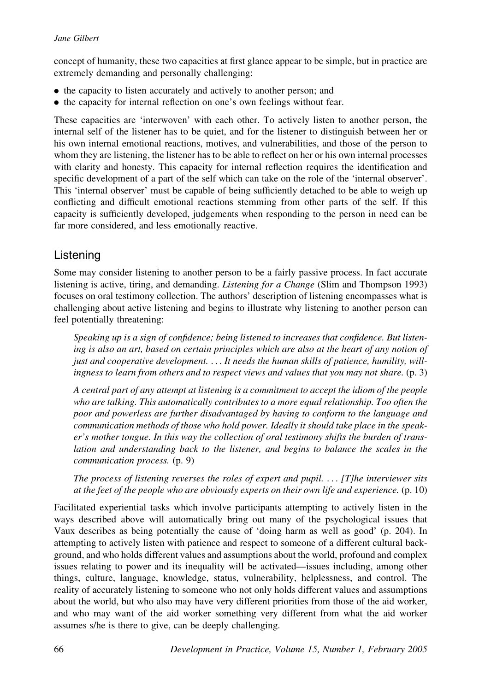#### Jane Gilbert

concept of humanity, these two capacities at first glance appear to be simple, but in practice are extremely demanding and personally challenging:

- the capacity to listen accurately and actively to another person; and
- . the capacity for internal reflection on one's own feelings without fear.

These capacities are 'interwoven' with each other. To actively listen to another person, the internal self of the listener has to be quiet, and for the listener to distinguish between her or his own internal emotional reactions, motives, and vulnerabilities, and those of the person to whom they are listening, the listener has to be able to reflect on her or his own internal processes with clarity and honesty. This capacity for internal reflection requires the identification and specific development of a part of the self which can take on the role of the 'internal observer'. This 'internal observer' must be capable of being sufficiently detached to be able to weigh up conflicting and difficult emotional reactions stemming from other parts of the self. If this capacity is sufficiently developed, judgements when responding to the person in need can be far more considered, and less emotionally reactive.

## Listening

Some may consider listening to another person to be a fairly passive process. In fact accurate listening is active, tiring, and demanding. Listening for a Change (Slim and Thompson 1993) focuses on oral testimony collection. The authors' description of listening encompasses what is challenging about active listening and begins to illustrate why listening to another person can feel potentially threatening:

Speaking up is a sign of confidence; being listened to increases that confidence. But listening is also an art, based on certain principles which are also at the heart of any notion of just and cooperative development. ... It needs the human skills of patience, humility, willingness to learn from others and to respect views and values that you may not share. (p. 3)

A central part of any attempt at listening is a commitment to accept the idiom of the people who are talking. This automatically contributes to a more equal relationship. Too often the poor and powerless are further disadvantaged by having to conform to the language and communication methods of those who hold power. Ideally it should take place in the speaker's mother tongue. In this way the collection of oral testimony shifts the burden of translation and understanding back to the listener, and begins to balance the scales in the communication process. (p. 9)

The process of listening reverses the roles of expert and pupil.  $\ldots$  [T]he interviewer sits at the feet of the people who are obviously experts on their own life and experience. (p. 10)

Facilitated experiential tasks which involve participants attempting to actively listen in the ways described above will automatically bring out many of the psychological issues that Vaux describes as being potentially the cause of 'doing harm as well as good' (p. 204). In attempting to actively listen with patience and respect to someone of a different cultural background, and who holds different values and assumptions about the world, profound and complex issues relating to power and its inequality will be activated—issues including, among other things, culture, language, knowledge, status, vulnerability, helplessness, and control. The reality of accurately listening to someone who not only holds different values and assumptions about the world, but who also may have very different priorities from those of the aid worker, and who may want of the aid worker something very different from what the aid worker assumes s/he is there to give, can be deeply challenging.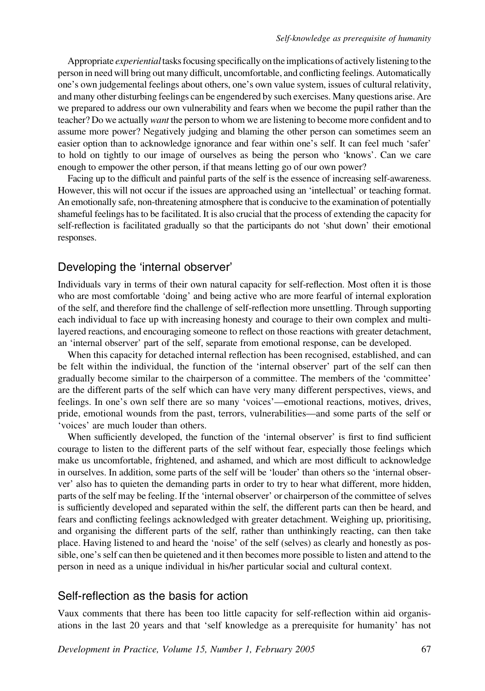Appropriate *experiential* tasks focusing specifically on the implications of actively listening to the person in need will bring out many difficult, uncomfortable, and conflicting feelings. Automatically one's own judgemental feelings about others, one's own value system, issues of cultural relativity, and many other disturbing feelings can be engendered by such exercises. Many questions arise. Are we prepared to address our own vulnerability and fears when we become the pupil rather than the teacher? Do we actually want the person to whom we are listening to become more confident and to assume more power? Negatively judging and blaming the other person can sometimes seem an easier option than to acknowledge ignorance and fear within one's self. It can feel much 'safer' to hold on tightly to our image of ourselves as being the person who 'knows'. Can we care enough to empower the other person, if that means letting go of our own power?

Facing up to the difficult and painful parts of the self is the essence of increasing self-awareness. However, this will not occur if the issues are approached using an 'intellectual' or teaching format. An emotionally safe, non-threatening atmosphere that is conducive to the examination of potentially shameful feelings has to be facilitated. It is also crucial that the process of extending the capacity for self-reflection is facilitated gradually so that the participants do not 'shut down' their emotional responses.

## Developing the 'internal observer'

Individuals vary in terms of their own natural capacity for self-reflection. Most often it is those who are most comfortable 'doing' and being active who are more fearful of internal exploration of the self, and therefore find the challenge of self-reflection more unsettling. Through supporting each individual to face up with increasing honesty and courage to their own complex and multilayered reactions, and encouraging someone to reflect on those reactions with greater detachment, an 'internal observer' part of the self, separate from emotional response, can be developed.

When this capacity for detached internal reflection has been recognised, established, and can be felt within the individual, the function of the 'internal observer' part of the self can then gradually become similar to the chairperson of a committee. The members of the 'committee' are the different parts of the self which can have very many different perspectives, views, and feelings. In one's own self there are so many 'voices'—emotional reactions, motives, drives, pride, emotional wounds from the past, terrors, vulnerabilities—and some parts of the self or 'voices' are much louder than others.

When sufficiently developed, the function of the 'internal observer' is first to find sufficient courage to listen to the different parts of the self without fear, especially those feelings which make us uncomfortable, frightened, and ashamed, and which are most difficult to acknowledge in ourselves. In addition, some parts of the self will be 'louder' than others so the 'internal observer' also has to quieten the demanding parts in order to try to hear what different, more hidden, parts of the self may be feeling. If the 'internal observer' or chairperson of the committee of selves is sufficiently developed and separated within the self, the different parts can then be heard, and fears and conflicting feelings acknowledged with greater detachment. Weighing up, prioritising, and organising the different parts of the self, rather than unthinkingly reacting, can then take place. Having listened to and heard the 'noise' of the self (selves) as clearly and honestly as possible, one's self can then be quietened and it then becomes more possible to listen and attend to the person in need as a unique individual in his/her particular social and cultural context.

## Self-reflection as the basis for action

Vaux comments that there has been too little capacity for self-reflection within aid organisations in the last 20 years and that 'self knowledge as a prerequisite for humanity' has not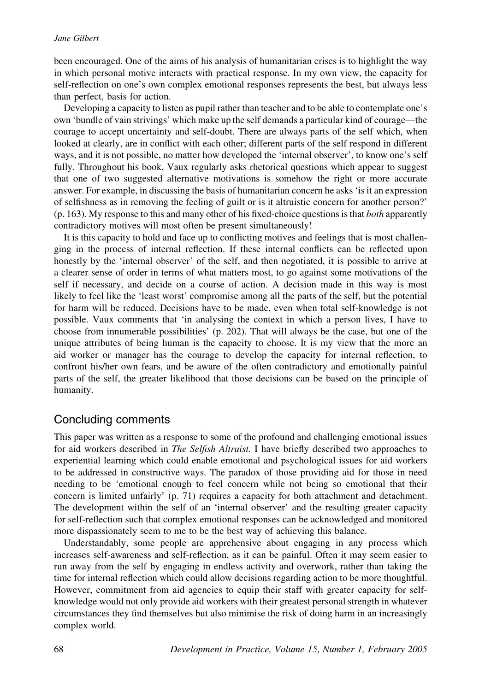been encouraged. One of the aims of his analysis of humanitarian crises is to highlight the way in which personal motive interacts with practical response. In my own view, the capacity for self-reflection on one's own complex emotional responses represents the best, but always less than perfect, basis for action.

Developing a capacity to listen as pupil rather than teacher and to be able to contemplate one's own 'bundle of vain strivings' which make up the self demands a particular kind of courage—the courage to accept uncertainty and self-doubt. There are always parts of the self which, when looked at clearly, are in conflict with each other; different parts of the self respond in different ways, and it is not possible, no matter how developed the 'internal observer', to know one's self fully. Throughout his book, Vaux regularly asks rhetorical questions which appear to suggest that one of two suggested alternative motivations is somehow the right or more accurate answer. For example, in discussing the basis of humanitarian concern he asks 'is it an expression of selfishness as in removing the feeling of guilt or is it altruistic concern for another person?'  $(p. 163)$ . My response to this and many other of his fixed-choice questions is that *both* apparently contradictory motives will most often be present simultaneously!

It is this capacity to hold and face up to conflicting motives and feelings that is most challenging in the process of internal reflection. If these internal conflicts can be reflected upon honestly by the 'internal observer' of the self, and then negotiated, it is possible to arrive at a clearer sense of order in terms of what matters most, to go against some motivations of the self if necessary, and decide on a course of action. A decision made in this way is most likely to feel like the 'least worst' compromise among all the parts of the self, but the potential for harm will be reduced. Decisions have to be made, even when total self-knowledge is not possible. Vaux comments that 'in analysing the context in which a person lives, I have to choose from innumerable possibilities' (p. 202). That will always be the case, but one of the unique attributes of being human is the capacity to choose. It is my view that the more an aid worker or manager has the courage to develop the capacity for internal reflection, to confront his/her own fears, and be aware of the often contradictory and emotionally painful parts of the self, the greater likelihood that those decisions can be based on the principle of humanity.

### Concluding comments

This paper was written as a response to some of the profound and challenging emotional issues for aid workers described in The Selfish Altruist. I have briefly described two approaches to experiential learning which could enable emotional and psychological issues for aid workers to be addressed in constructive ways. The paradox of those providing aid for those in need needing to be 'emotional enough to feel concern while not being so emotional that their concern is limited unfairly' (p. 71) requires a capacity for both attachment and detachment. The development within the self of an 'internal observer' and the resulting greater capacity for self-reflection such that complex emotional responses can be acknowledged and monitored more dispassionately seem to me to be the best way of achieving this balance.

Understandably, some people are apprehensive about engaging in any process which increases self-awareness and self-reflection, as it can be painful. Often it may seem easier to run away from the self by engaging in endless activity and overwork, rather than taking the time for internal reflection which could allow decisions regarding action to be more thoughtful. However, commitment from aid agencies to equip their staff with greater capacity for selfknowledge would not only provide aid workers with their greatest personal strength in whatever circumstances they find themselves but also minimise the risk of doing harm in an increasingly complex world.